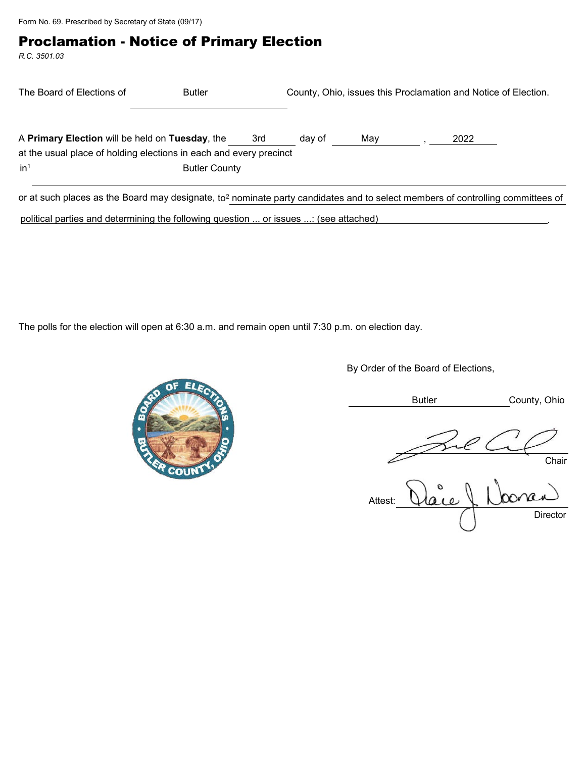Form No. 69. Prescribed by Secretary of State (09/17)

## Proclamation - Notice of Primary Election

*R.C. 3501.03*

| The Board of Elections of                                                                                                                  | <b>Butler</b>        | County, Ohio, issues this Proclamation and Notice of Election. |        |     |  |      |  |
|--------------------------------------------------------------------------------------------------------------------------------------------|----------------------|----------------------------------------------------------------|--------|-----|--|------|--|
| A Primary Election will be held on Tuesday, the<br>at the usual place of holding elections in each and every precinct                      |                      | 3rd                                                            | day of | May |  | 2022 |  |
| in <sup>1</sup>                                                                                                                            | <b>Butler County</b> |                                                                |        |     |  |      |  |
| or at such places as the Board may designate, to <sup>2</sup> nominate party candidates and to select members of controlling committees of |                      |                                                                |        |     |  |      |  |

political parties and determining the following question ... or issues ...: (see attached)

The polls for the election will open at 6:30 a.m. and remain open until 7:30 p.m. on election day.



By Order of the Board of Elections,

Butler County, Ohio

Chair

Attest: Director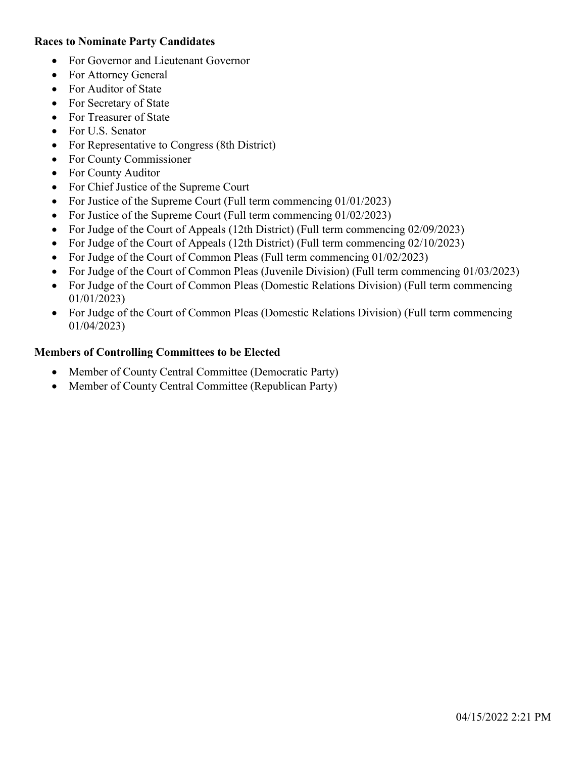### **Races to Nominate Party Candidates**

- For Governor and Lieutenant Governor
- For Attorney General
- For Auditor of State
- For Secretary of State
- For Treasurer of State
- For U.S. Senator
- For Representative to Congress (8th District)
- For County Commissioner
- For County Auditor
- For Chief Justice of the Supreme Court
- For Justice of the Supreme Court (Full term commencing 01/01/2023)
- For Justice of the Supreme Court (Full term commencing 01/02/2023)
- For Judge of the Court of Appeals (12th District) (Full term commencing 02/09/2023)
- For Judge of the Court of Appeals (12th District) (Full term commencing 02/10/2023)
- For Judge of the Court of Common Pleas (Full term commencing 01/02/2023)
- For Judge of the Court of Common Pleas (Juvenile Division) (Full term commencing 01/03/2023)
- For Judge of the Court of Common Pleas (Domestic Relations Division) (Full term commencing 01/01/2023)
- For Judge of the Court of Common Pleas (Domestic Relations Division) (Full term commencing 01/04/2023)

## **Members of Controlling Committees to be Elected**

- Member of County Central Committee (Democratic Party)
- Member of County Central Committee (Republican Party)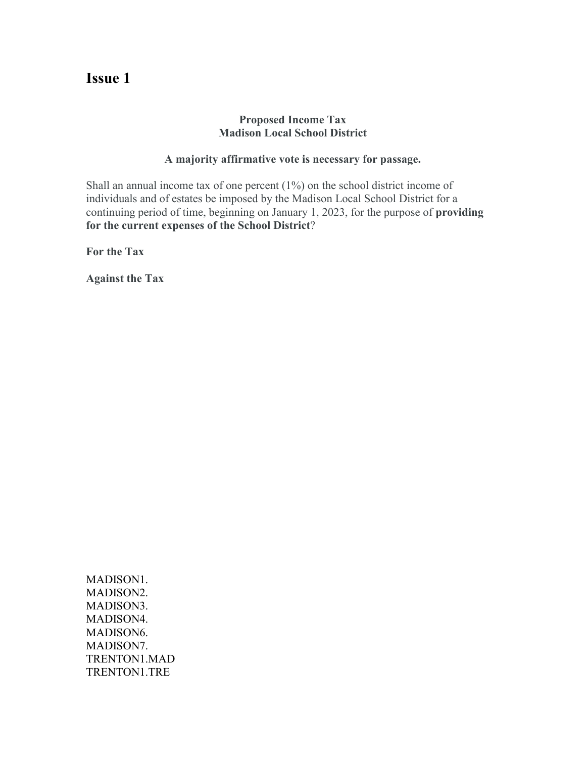### **Proposed Income Tax Madison Local School District**

#### **A majority affirmative vote is necessary for passage.**

Shall an annual income tax of one percent (1%) on the school district income of individuals and of estates be imposed by the Madison Local School District for a continuing period of time, beginning on January 1, 2023, for the purpose of **providing for the current expenses of the School District**?

**For the Tax**

**Against the Tax**

MADISON1. MADISON2. MADISON3. MADISON4. MADISON6. MADISON7. TRENTON1.MAD TRENTON1.TRE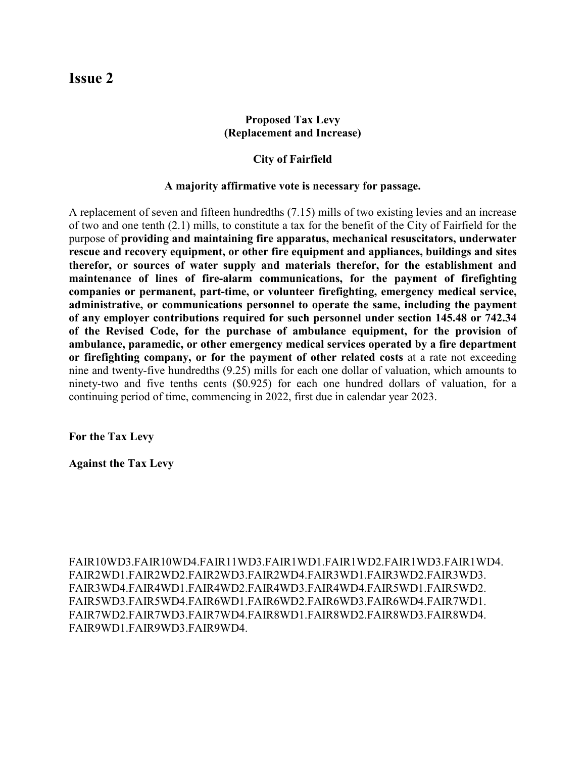## **Proposed Tax Levy (Replacement and Increase)**

#### **City of Fairfield**

#### **A majority affirmative vote is necessary for passage.**

A replacement of seven and fifteen hundredths (7.15) mills of two existing levies and an increase of two and one tenth (2.1) mills, to constitute a tax for the benefit of the City of Fairfield for the purpose of **providing and maintaining fire apparatus, mechanical resuscitators, underwater rescue and recovery equipment, or other fire equipment and appliances, buildings and sites therefor, or sources of water supply and materials therefor, for the establishment and maintenance of lines of fire-alarm communications, for the payment of firefighting companies or permanent, part-time, or volunteer firefighting, emergency medical service, administrative, or communications personnel to operate the same, including the payment of any employer contributions required for such personnel under section 145.48 or 742.34 of the Revised Code, for the purchase of ambulance equipment, for the provision of ambulance, paramedic, or other emergency medical services operated by a fire department or firefighting company, or for the payment of other related costs** at a rate not exceeding nine and twenty-five hundredths (9.25) mills for each one dollar of valuation, which amounts to ninety-two and five tenths cents (\$0.925) for each one hundred dollars of valuation, for a continuing period of time, commencing in 2022, first due in calendar year 2023.

**For the Tax Levy**

**Against the Tax Levy**

FAIR10WD3.FAIR10WD4.FAIR11WD3.FAIR1WD1.FAIR1WD2.FAIR1WD3.FAIR1WD4. FAIR2WD1.FAIR2WD2.FAIR2WD3.FAIR2WD4.FAIR3WD1.FAIR3WD2.FAIR3WD3. FAIR3WD4.FAIR4WD1.FAIR4WD2.FAIR4WD3.FAIR4WD4.FAIR5WD1.FAIR5WD2. FAIR5WD3.FAIR5WD4.FAIR6WD1.FAIR6WD2.FAIR6WD3.FAIR6WD4.FAIR7WD1. FAIR7WD2.FAIR7WD3.FAIR7WD4.FAIR8WD1.FAIR8WD2.FAIR8WD3.FAIR8WD4. FAIR9WD1.FAIR9WD3.FAIR9WD4.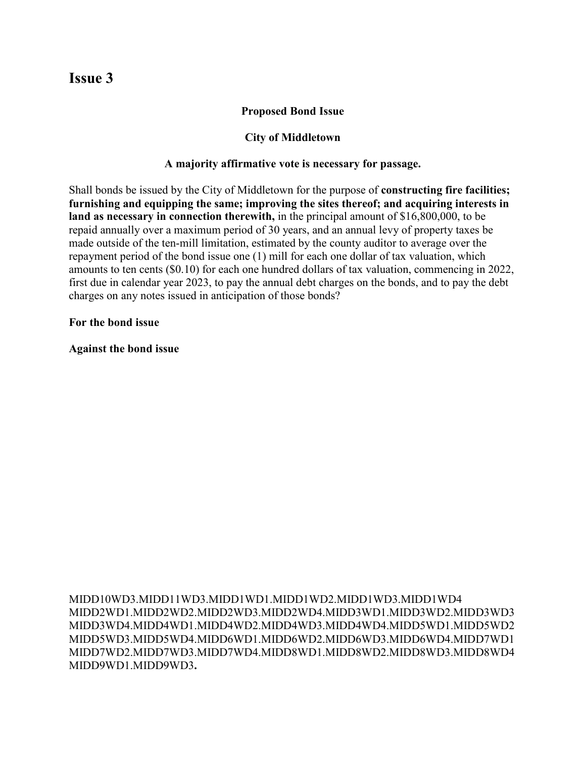### **Proposed Bond Issue**

#### **City of Middletown**

#### **A majority affirmative vote is necessary for passage.**

Shall bonds be issued by the City of Middletown for the purpose of **constructing fire facilities; furnishing and equipping the same; improving the sites thereof; and acquiring interests in land as necessary in connection therewith,** in the principal amount of \$16,800,000, to be repaid annually over a maximum period of 30 years, and an annual levy of property taxes be made outside of the ten-mill limitation, estimated by the county auditor to average over the repayment period of the bond issue one (1) mill for each one dollar of tax valuation, which amounts to ten cents (\$0.10) for each one hundred dollars of tax valuation, commencing in 2022, first due in calendar year 2023, to pay the annual debt charges on the bonds, and to pay the debt charges on any notes issued in anticipation of those bonds?

#### **For the bond issue**

**Against the bond issue**

MIDD10WD3.MIDD11WD3.MIDD1WD1.MIDD1WD2.MIDD1WD3.MIDD1WD4 MIDD2WD1.MIDD2WD2.MIDD2WD3.MIDD2WD4.MIDD3WD1.MIDD3WD2.MIDD3WD3 MIDD3WD4.MIDD4WD1.MIDD4WD2.MIDD4WD3.MIDD4WD4.MIDD5WD1.MIDD5WD2 MIDD5WD3.MIDD5WD4.MIDD6WD1.MIDD6WD2.MIDD6WD3.MIDD6WD4.MIDD7WD1 MIDD7WD2.MIDD7WD3.MIDD7WD4.MIDD8WD1.MIDD8WD2.MIDD8WD3.MIDD8WD4 MIDD9WD1.MIDD9WD3**.**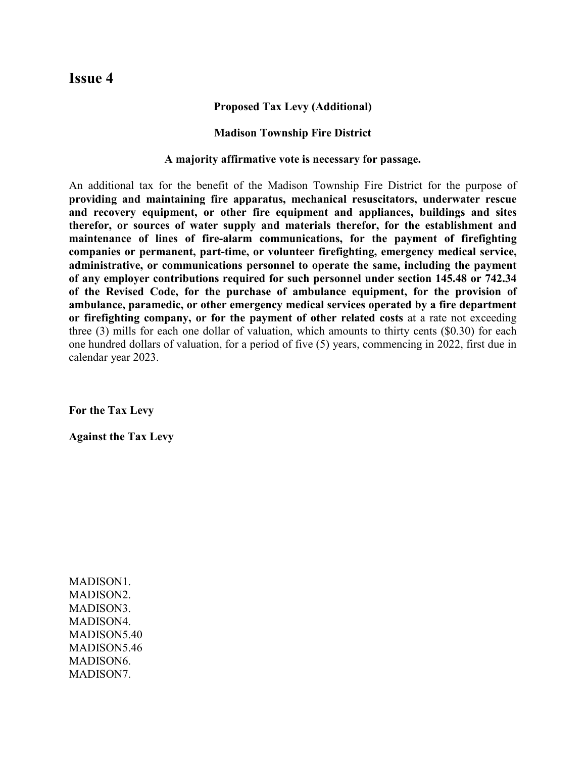#### **Proposed Tax Levy (Additional)**

#### **Madison Township Fire District**

**A majority affirmative vote is necessary for passage.**

An additional tax for the benefit of the Madison Township Fire District for the purpose of **providing and maintaining fire apparatus, mechanical resuscitators, underwater rescue and recovery equipment, or other fire equipment and appliances, buildings and sites therefor, or sources of water supply and materials therefor, for the establishment and maintenance of lines of fire-alarm communications, for the payment of firefighting companies or permanent, part-time, or volunteer firefighting, emergency medical service, administrative, or communications personnel to operate the same, including the payment of any employer contributions required for such personnel under section 145.48 or 742.34 of the Revised Code, for the purchase of ambulance equipment, for the provision of ambulance, paramedic, or other emergency medical services operated by a fire department or firefighting company, or for the payment of other related costs** at a rate not exceeding three (3) mills for each one dollar of valuation, which amounts to thirty cents (\$0.30) for each one hundred dollars of valuation, for a period of five (5) years, commencing in 2022, first due in calendar year 2023.

**For the Tax Levy**

**Against the Tax Levy**

MADISON1. MADISON2. MADISON3. MADISON4. MADISON5.40 MADISON5.46 MADISON6. MADISON7.